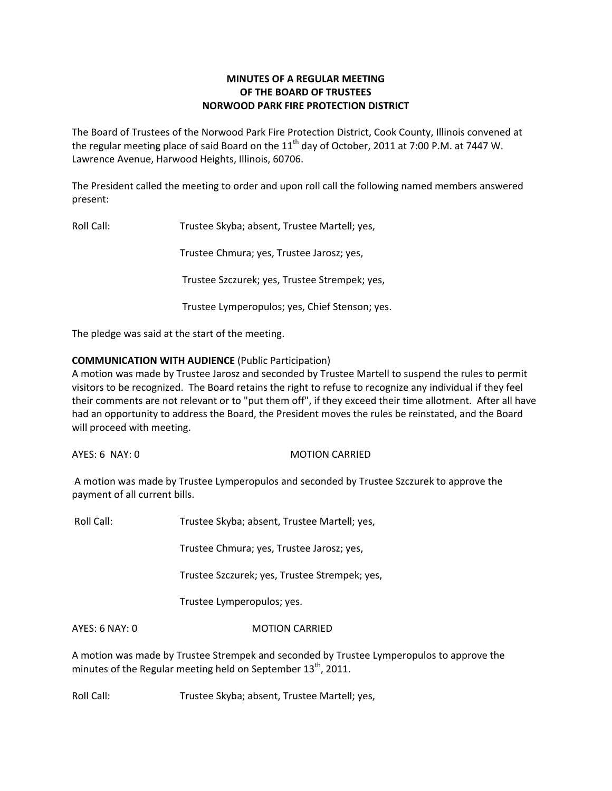# **MINUTES OF A REGULAR MEETING OF THE BOARD OF TRUSTEES NORWOOD PARK FIRE PROTECTION DISTRICT**

The Board of Trustees of the Norwood Park Fire Protection District, Cook County, Illinois convened at the regular meeting place of said Board on the  $11<sup>th</sup>$  day of October, 2011 at 7:00 P.M. at 7447 W. Lawrence Avenue, Harwood Heights, Illinois, 60706.

The President called the meeting to order and upon roll call the following named members answered present:

Roll Call: Trustee Skyba; absent, Trustee Martell; yes,

Trustee Chmura; yes, Trustee Jarosz; yes,

Trustee Szczurek; yes, Trustee Strempek; yes,

Trustee Lymperopulos; yes, Chief Stenson; yes.

The pledge was said at the start of the meeting.

# **COMMUNICATION WITH AUDIENCE** (Public Participation)

A motion was made by Trustee Jarosz and seconded by Trustee Martell to suspend the rules to permit visitors to be recognized. The Board retains the right to refuse to recognize any individual if they feel their comments are not relevant or to "put them off", if they exceed their time allotment. After all have had an opportunity to address the Board, the President moves the rules be reinstated, and the Board will proceed with meeting.

AYES: 6 NAY: 0 MOTION CARRIED

A motion was made by Trustee Lymperopulos and seconded by Trustee Szczurek to approve the payment of all current bills.

Roll Call: Trustee Skyba; absent, Trustee Martell; yes,

Trustee Chmura; yes, Trustee Jarosz; yes,

Trustee Szczurek; yes, Trustee Strempek; yes,

Trustee Lymperopulos; yes.

AYES: 6 NAY: 0 MOTION CARRIED

A motion was made by Trustee Strempek and seconded by Trustee Lymperopulos to approve the minutes of the Regular meeting held on September  $13<sup>th</sup>$ , 2011.

Roll Call: Trustee Skyba; absent, Trustee Martell; yes,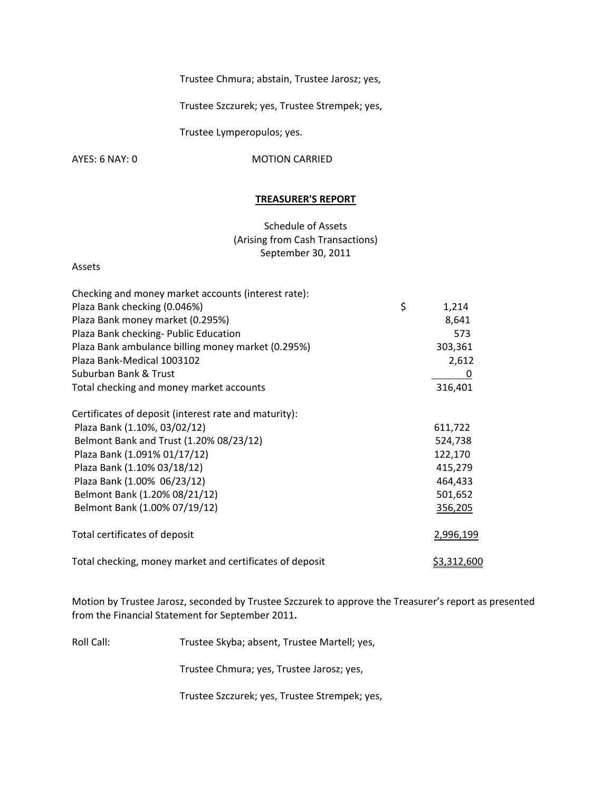Trustee Chmura; abstain, Trustee Jarosz; yes,

Trustee Szczurek; yes, Trustee Strempek; yes,

Trustee Lymperopulos; yes.

AYES: 6 NAY: 0 MOTION CARRIED

#### **TREASURER'S REPORT**

Schedule of Assets (Arising from Cash Transactions) September 30, 2011

### Assets

| Checking and money market accounts (interest rate):      |             |
|----------------------------------------------------------|-------------|
| Plaza Bank checking (0.046%)                             | \$<br>1,214 |
| Plaza Bank money market (0.295%)                         | 8,641       |
| Plaza Bank checking- Public Education                    | 573         |
| Plaza Bank ambulance billing money market (0.295%)       | 303,361     |
| Plaza Bank-Medical 1003102                               | 2,612       |
| Suburban Bank & Trust                                    | 0           |
| Total checking and money market accounts                 | 316,401     |
| Certificates of deposit (interest rate and maturity):    |             |
| Plaza Bank (1.10%, 03/02/12)                             | 611,722     |
| Belmont Bank and Trust (1.20% 08/23/12)                  | 524,738     |
| Plaza Bank (1.091% 01/17/12)                             | 122,170     |
| Plaza Bank (1.10% 03/18/12)                              | 415,279     |
| Plaza Bank (1.00% 06/23/12)                              | 464,433     |
| Belmont Bank (1.20% 08/21/12)                            | 501,652     |
| Belmont Bank (1.00% 07/19/12)                            | 356,205     |
| Total certificates of deposit                            | 2,996,199   |
| Total checking, money market and certificates of deposit | \$3,312,600 |

Motion by Trustee Jarosz, seconded by Trustee Szczurek to approve the Treasurer's report as presented from the Financial Statement for September 2011**.**

Roll Call: Trustee Skyba; absent, Trustee Martell; yes,

Trustee Chmura; yes, Trustee Jarosz; yes,

Trustee Szczurek; yes, Trustee Strempek; yes,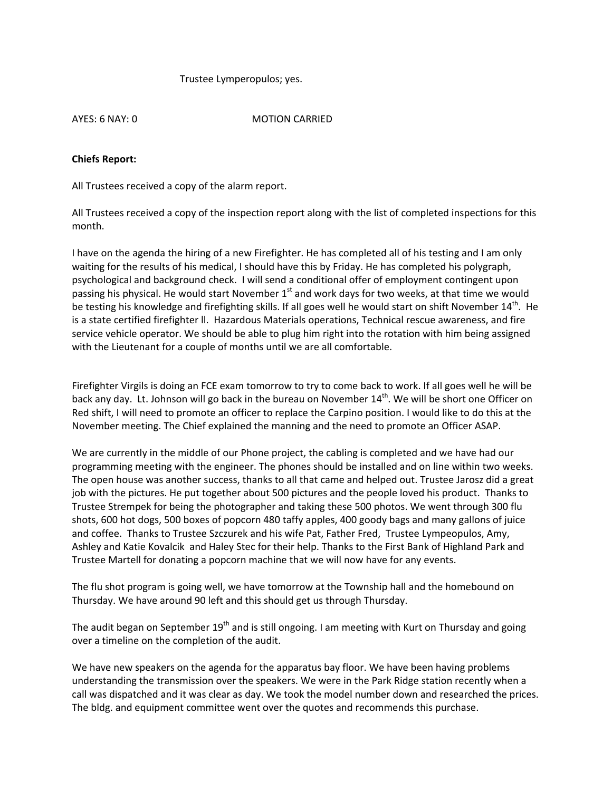### Trustee Lymperopulos; yes.

AYES: 6 NAY: 0 MOTION CARRIED

## **Chiefs Report:**

All Trustees received a copy of the alarm report.

All Trustees received a copy of the inspection report along with the list of completed inspections for this month.

I have on the agenda the hiring of a new Firefighter. He has completed all of his testing and I am only waiting for the results of his medical, I should have this by Friday. He has completed his polygraph, psychological and background check. I will send a conditional offer of employment contingent upon passing his physical. He would start November 1<sup>st</sup> and work days for two weeks, at that time we would be testing his knowledge and firefighting skills. If all goes well he would start on shift November 14<sup>th</sup>. He is a state certified firefighter ll. Hazardous Materials operations, Technical rescue awareness, and fire service vehicle operator. We should be able to plug him right into the rotation with him being assigned with the Lieutenant for a couple of months until we are all comfortable.

Firefighter Virgils is doing an FCE exam tomorrow to try to come back to work. If all goes well he will be back any day. Lt. Johnson will go back in the bureau on November 14<sup>th</sup>. We will be short one Officer on Red shift, I will need to promote an officer to replace the Carpino position. I would like to do this at the November meeting. The Chief explained the manning and the need to promote an Officer ASAP.

We are currently in the middle of our Phone project, the cabling is completed and we have had our programming meeting with the engineer. The phones should be installed and on line within two weeks. The open house was another success, thanks to all that came and helped out. Trustee Jarosz did a great job with the pictures. He put together about 500 pictures and the people loved his product. Thanks to Trustee Strempek for being the photographer and taking these 500 photos. We went through 300 flu shots, 600 hot dogs, 500 boxes of popcorn 480 taffy apples, 400 goody bags and many gallons of juice and coffee. Thanks to Trustee Szczurek and his wife Pat, Father Fred, Trustee Lympeopulos, Amy, Ashley and Katie Kovalcik and Haley Stec for their help. Thanks to the First Bank of Highland Park and Trustee Martell for donating a popcorn machine that we will now have for any events.

The flu shot program is going well, we have tomorrow at the Township hall and the homebound on Thursday. We have around 90 left and this should get us through Thursday.

The audit began on September  $19<sup>th</sup>$  and is still ongoing. I am meeting with Kurt on Thursday and going over a timeline on the completion of the audit.

We have new speakers on the agenda for the apparatus bay floor. We have been having problems understanding the transmission over the speakers. We were in the Park Ridge station recently when a call was dispatched and it was clear as day. We took the model number down and researched the prices. The bldg. and equipment committee went over the quotes and recommends this purchase.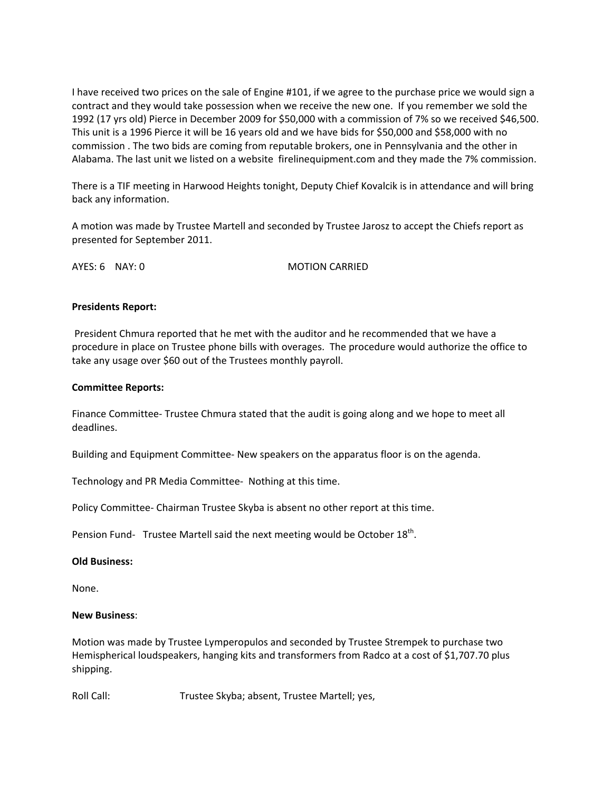I have received two prices on the sale of Engine #101, if we agree to the purchase price we would sign a contract and they would take possession when we receive the new one. If you remember we sold the 1992 (17 yrs old) Pierce in December 2009 for \$50,000 with a commission of 7% so we received \$46,500. This unit is a 1996 Pierce it will be 16 years old and we have bids for \$50,000 and \$58,000 with no commission . The two bids are coming from reputable brokers, one in Pennsylvania and the other in Alabama. The last unit we listed on a website firelinequipment.com and they made the 7% commission.

There is a TIF meeting in Harwood Heights tonight, Deputy Chief Kovalcik is in attendance and will bring back any information.

A motion was made by Trustee Martell and seconded by Trustee Jarosz to accept the Chiefs report as presented for September 2011.

AYES: 6 NAY: 0 MOTION CARRIED

## **Presidents Report:**

President Chmura reported that he met with the auditor and he recommended that we have a procedure in place on Trustee phone bills with overages. The procedure would authorize the office to take any usage over \$60 out of the Trustees monthly payroll.

## **Committee Reports:**

Finance Committee‐ Trustee Chmura stated that the audit is going along and we hope to meet all deadlines.

Building and Equipment Committee‐ New speakers on the apparatus floor is on the agenda.

Technology and PR Media Committee‐ Nothing at this time.

Policy Committee‐ Chairman Trustee Skyba is absent no other report at this time.

Pension Fund- Trustee Martell said the next meeting would be October  $18^{th}$ .

### **Old Business:**

None.

## **New Business**:

Motion was made by Trustee Lymperopulos and seconded by Trustee Strempek to purchase two Hemispherical loudspeakers, hanging kits and transformers from Radco at a cost of \$1,707.70 plus shipping.

Roll Call: Trustee Skyba; absent, Trustee Martell; yes,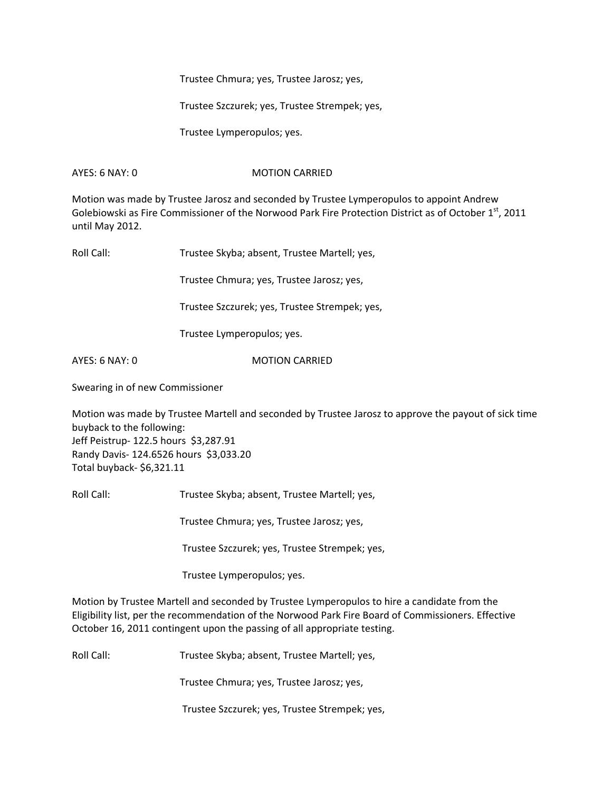Trustee Chmura; yes, Trustee Jarosz; yes,

Trustee Szczurek; yes, Trustee Strempek; yes,

Trustee Lymperopulos; yes.

## AYES: 6 NAY: 0 MOTION CARRIED

Motion was made by Trustee Jarosz and seconded by Trustee Lymperopulos to appoint Andrew Golebiowski as Fire Commissioner of the Norwood Park Fire Protection District as of October 1<sup>st</sup>, 2011 until May 2012.

Roll Call: Trustee Skyba; absent, Trustee Martell; yes,

Trustee Chmura; yes, Trustee Jarosz; yes,

Trustee Szczurek; yes, Trustee Strempek; yes,

Trustee Lymperopulos; yes.

AYES: 6 NAY: 0 MOTION CARRIED

Swearing in of new Commissioner

Motion was made by Trustee Martell and seconded by Trustee Jarosz to approve the payout of sick time buyback to the following: Jeff Peistrup‐ 122.5 hours \$3,287.91 Randy Davis‐ 124.6526 hours \$3,033.20 Total buyback‐ \$6,321.11

Roll Call: Trustee Skyba; absent, Trustee Martell; yes,

Trustee Chmura; yes, Trustee Jarosz; yes,

Trustee Szczurek; yes, Trustee Strempek; yes,

Trustee Lymperopulos; yes.

Motion by Trustee Martell and seconded by Trustee Lymperopulos to hire a candidate from the Eligibility list, per the recommendation of the Norwood Park Fire Board of Commissioners. Effective October 16, 2011 contingent upon the passing of all appropriate testing.

Roll Call: Trustee Skyba; absent, Trustee Martell; yes,

Trustee Chmura; yes, Trustee Jarosz; yes,

Trustee Szczurek; yes, Trustee Strempek; yes,